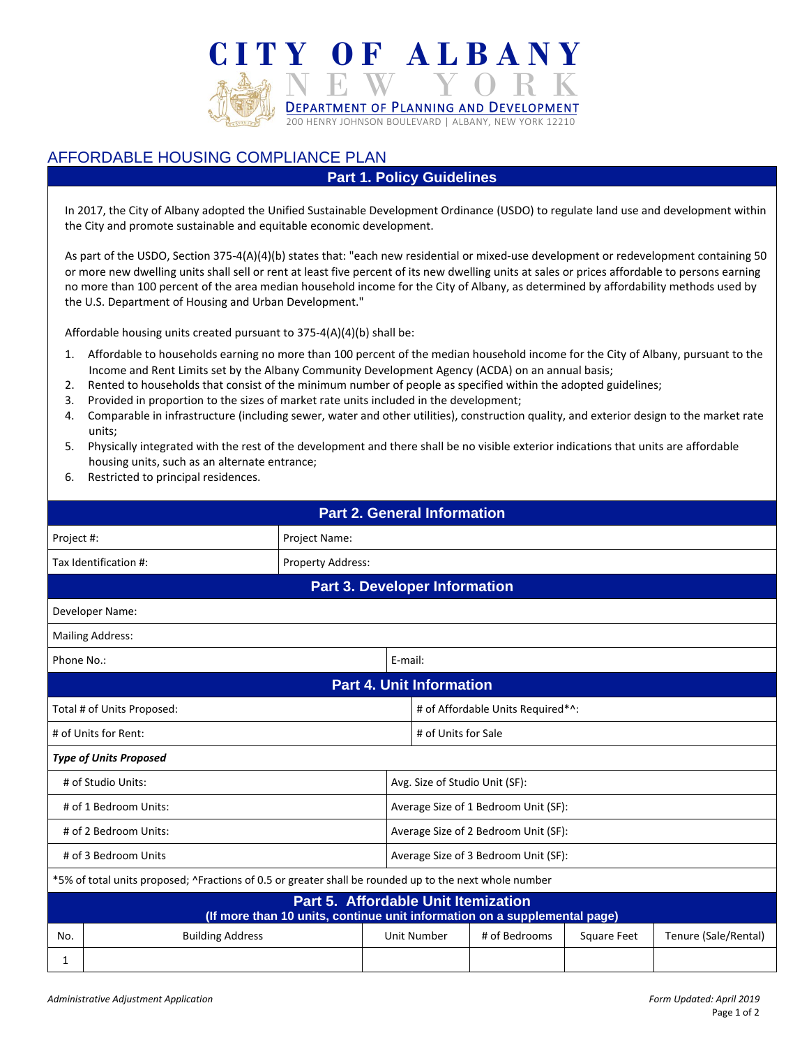

## AFFORDABLE HOUSING COMPLIANCE PLAN

#### **Part 1. Policy Guidelines**

In 2017, the City of Albany adopted the Unified Sustainable Development Ordinance (USDO) to regulate land use and development within the City and promote sustainable and equitable economic development.

As part of the USDO, Section 375-4(A)(4)(b) states that: "each new residential or mixed-use development or redevelopment containing 50 or more new dwelling units shall sell or rent at least five percent of its new dwelling units at sales or prices affordable to persons earning no more than 100 percent of the area median household income for the City of Albany, as determined by affordability methods used by the U.S. Department of Housing and Urban Development."

Affordable housing units created pursuant to 375-4(A)(4)(b) shall be:

- 1. Affordable to households earning no more than 100 percent of the median household income for the City of Albany, pursuant to the Income and Rent Limits set by the Albany Community Development Agency (ACDA) on an annual basis;
- 2. Rented to households that consist of the minimum number of people as specified within the adopted guidelines;
- 3. Provided in proportion to the sizes of market rate units included in the development;
- 4. Comparable in infrastructure (including sewer, water and other utilities), construction quality, and exterior design to the market rate units;
- 5. Physically integrated with the rest of the development and there shall be no visible exterior indications that units are affordable housing units, such as an alternate entrance;
- 6. Restricted to principal residences.

| <b>Part 2. General Information</b>                                                                               |                                      |                          |         |                                      |               |             |                      |  |
|------------------------------------------------------------------------------------------------------------------|--------------------------------------|--------------------------|---------|--------------------------------------|---------------|-------------|----------------------|--|
|                                                                                                                  | Project Name:<br>Project #:          |                          |         |                                      |               |             |                      |  |
|                                                                                                                  | Tax Identification #:                | <b>Property Address:</b> |         |                                      |               |             |                      |  |
|                                                                                                                  | <b>Part 3. Developer Information</b> |                          |         |                                      |               |             |                      |  |
|                                                                                                                  | Developer Name:                      |                          |         |                                      |               |             |                      |  |
|                                                                                                                  | <b>Mailing Address:</b>              |                          |         |                                      |               |             |                      |  |
| Phone No.:                                                                                                       |                                      |                          | E-mail: |                                      |               |             |                      |  |
|                                                                                                                  | <b>Part 4. Unit Information</b>      |                          |         |                                      |               |             |                      |  |
| Total # of Units Proposed:                                                                                       |                                      |                          |         | # of Affordable Units Required*^:    |               |             |                      |  |
| # of Units for Rent:                                                                                             |                                      |                          |         | # of Units for Sale                  |               |             |                      |  |
| <b>Type of Units Proposed</b>                                                                                    |                                      |                          |         |                                      |               |             |                      |  |
| # of Studio Units:<br>Avg. Size of Studio Unit (SF):                                                             |                                      |                          |         |                                      |               |             |                      |  |
| # of 1 Bedroom Units:                                                                                            |                                      |                          |         | Average Size of 1 Bedroom Unit (SF): |               |             |                      |  |
| # of 2 Bedroom Units:                                                                                            |                                      |                          |         | Average Size of 2 Bedroom Unit (SF): |               |             |                      |  |
| # of 3 Bedroom Units                                                                                             |                                      |                          |         | Average Size of 3 Bedroom Unit (SF): |               |             |                      |  |
| *5% of total units proposed; ^Fractions of 0.5 or greater shall be rounded up to the next whole number           |                                      |                          |         |                                      |               |             |                      |  |
| Part 5. Affordable Unit Itemization<br>(If more than 10 units, continue unit information on a supplemental page) |                                      |                          |         |                                      |               |             |                      |  |
| No.                                                                                                              | <b>Building Address</b>              |                          |         | Unit Number                          | # of Bedrooms | Square Feet | Tenure (Sale/Rental) |  |
| 1                                                                                                                |                                      |                          |         |                                      |               |             |                      |  |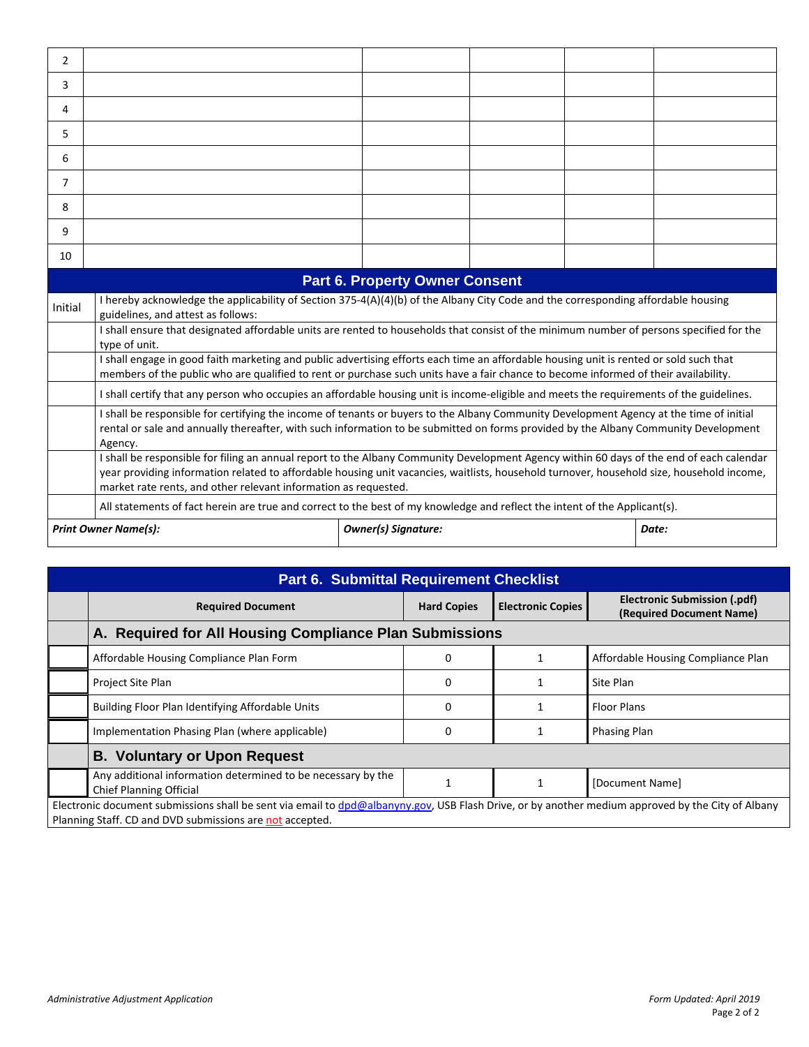| 2       |                                                                                                                                                                                                                                                                                                                                                          |                            |  |  |       |  |  |  |
|---------|----------------------------------------------------------------------------------------------------------------------------------------------------------------------------------------------------------------------------------------------------------------------------------------------------------------------------------------------------------|----------------------------|--|--|-------|--|--|--|
| 3       |                                                                                                                                                                                                                                                                                                                                                          |                            |  |  |       |  |  |  |
| 4       |                                                                                                                                                                                                                                                                                                                                                          |                            |  |  |       |  |  |  |
| 5.      |                                                                                                                                                                                                                                                                                                                                                          |                            |  |  |       |  |  |  |
| 6       |                                                                                                                                                                                                                                                                                                                                                          |                            |  |  |       |  |  |  |
| 7       |                                                                                                                                                                                                                                                                                                                                                          |                            |  |  |       |  |  |  |
| 8       |                                                                                                                                                                                                                                                                                                                                                          |                            |  |  |       |  |  |  |
| 9       |                                                                                                                                                                                                                                                                                                                                                          |                            |  |  |       |  |  |  |
| 10      |                                                                                                                                                                                                                                                                                                                                                          |                            |  |  |       |  |  |  |
|         | <b>Part 6. Property Owner Consent</b>                                                                                                                                                                                                                                                                                                                    |                            |  |  |       |  |  |  |
| Initial | I hereby acknowledge the applicability of Section 375-4(A)(4)(b) of the Albany City Code and the corresponding affordable housing<br>guidelines, and attest as follows:<br>I shall ensure that designated affordable units are rented to households that consist of the minimum number of persons specified for the                                      |                            |  |  |       |  |  |  |
|         | type of unit.                                                                                                                                                                                                                                                                                                                                            |                            |  |  |       |  |  |  |
|         | I shall engage in good faith marketing and public advertising efforts each time an affordable housing unit is rented or sold such that<br>members of the public who are qualified to rent or purchase such units have a fair chance to become informed of their availability.                                                                            |                            |  |  |       |  |  |  |
|         | I shall certify that any person who occupies an affordable housing unit is income-eligible and meets the requirements of the guidelines.                                                                                                                                                                                                                 |                            |  |  |       |  |  |  |
|         | I shall be responsible for certifying the income of tenants or buyers to the Albany Community Development Agency at the time of initial<br>rental or sale and annually thereafter, with such information to be submitted on forms provided by the Albany Community Development<br>Agency.                                                                |                            |  |  |       |  |  |  |
|         | I shall be responsible for filing an annual report to the Albany Community Development Agency within 60 days of the end of each calendar<br>year providing information related to affordable housing unit vacancies, waitlists, household turnover, household size, household income,<br>market rate rents, and other relevant information as requested. |                            |  |  |       |  |  |  |
|         | All statements of fact herein are true and correct to the best of my knowledge and reflect the intent of the Applicant(s).                                                                                                                                                                                                                               |                            |  |  |       |  |  |  |
|         | <b>Print Owner Name(s):</b>                                                                                                                                                                                                                                                                                                                              | <b>Owner(s) Signature:</b> |  |  | Date: |  |  |  |

| <b>Part 6. Submittal Requirement Checklist</b>                                                                                                                                                                |                                                                                                |                    |                          |                                                          |  |  |  |  |
|---------------------------------------------------------------------------------------------------------------------------------------------------------------------------------------------------------------|------------------------------------------------------------------------------------------------|--------------------|--------------------------|----------------------------------------------------------|--|--|--|--|
|                                                                                                                                                                                                               | <b>Required Document</b>                                                                       | <b>Hard Copies</b> | <b>Electronic Copies</b> | Electronic Submission (.pdf)<br>(Required Document Name) |  |  |  |  |
|                                                                                                                                                                                                               | A. Required for All Housing Compliance Plan Submissions                                        |                    |                          |                                                          |  |  |  |  |
|                                                                                                                                                                                                               | Affordable Housing Compliance Plan Form                                                        | 0                  | 1                        | Affordable Housing Compliance Plan                       |  |  |  |  |
|                                                                                                                                                                                                               | Project Site Plan                                                                              | 0                  | 1                        | Site Plan                                                |  |  |  |  |
|                                                                                                                                                                                                               | Building Floor Plan Identifying Affordable Units                                               | 0                  |                          | <b>Floor Plans</b>                                       |  |  |  |  |
|                                                                                                                                                                                                               | Implementation Phasing Plan (where applicable)                                                 | 0                  |                          | <b>Phasing Plan</b>                                      |  |  |  |  |
|                                                                                                                                                                                                               | <b>B. Voluntary or Upon Request</b>                                                            |                    |                          |                                                          |  |  |  |  |
|                                                                                                                                                                                                               | Any additional information determined to be necessary by the<br><b>Chief Planning Official</b> |                    | $\mathbf{1}$             | [Document Name]                                          |  |  |  |  |
| Electronic document submissions shall be sent via email to dpd@albanyny.gov, USB Flash Drive, or by another medium approved by the City of Albany<br>Planning Staff. CD and DVD submissions are not accepted. |                                                                                                |                    |                          |                                                          |  |  |  |  |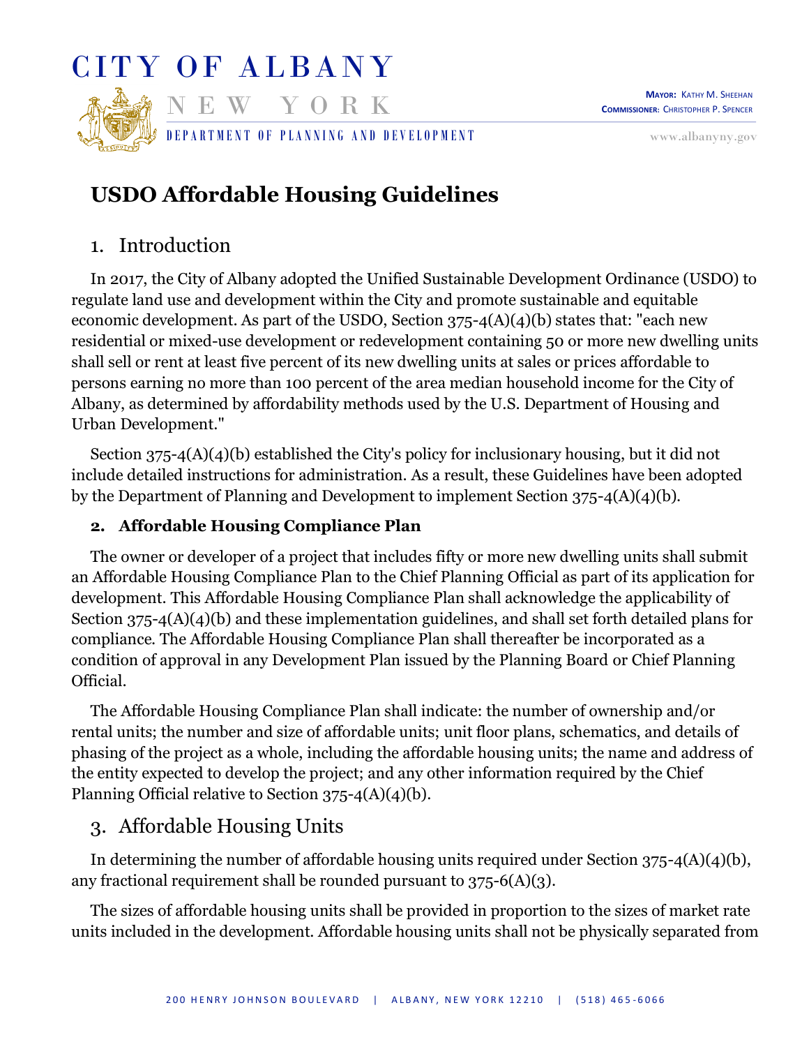

# **USDO Affordable Housing Guidelines**

# 1. Introduction

In 2017, the City of Albany adopted the Unified Sustainable Development Ordinance (USDO) to regulate land use and development within the City and promote sustainable and equitable economic development. As part of the USDO, Section  $375-4(A)(4)(b)$  states that: "each new residential or mixed-use development or redevelopment containing 50 or more new dwelling units shall sell or rent at least five percent of its new dwelling units at sales or prices affordable to persons earning no more than 100 percent of the area median household income for the City of Albany, as determined by affordability methods used by the U.S. Department of Housing and Urban Development."

Section 375-4(A)(4)(b) established the City's policy for inclusionary housing, but it did not include detailed instructions for administration. As a result, these Guidelines have been adopted by the Department of Planning and Development to implement Section 375-4(A)(4)(b).

## **2. Affordable Housing Compliance Plan**

The owner or developer of a project that includes fifty or more new dwelling units shall submit an Affordable Housing Compliance Plan to the Chief Planning Official as part of its application for development. This Affordable Housing Compliance Plan shall acknowledge the applicability of Section 375-4(A)(4)(b) and these implementation guidelines, and shall set forth detailed plans for compliance. The Affordable Housing Compliance Plan shall thereafter be incorporated as a condition of approval in any Development Plan issued by the Planning Board or Chief Planning Official.

The Affordable Housing Compliance Plan shall indicate: the number of ownership and/or rental units; the number and size of affordable units; unit floor plans, schematics, and details of phasing of the project as a whole, including the affordable housing units; the name and address of the entity expected to develop the project; and any other information required by the Chief Planning Official relative to Section 375-4(A)(4)(b).

# 3. Affordable Housing Units

In determining the number of affordable housing units required under Section 375-4(A)(4)(b), any fractional requirement shall be rounded pursuant to 375-6(A)(3).

The sizes of affordable housing units shall be provided in proportion to the sizes of market rate units included in the development. Affordable housing units shall not be physically separated from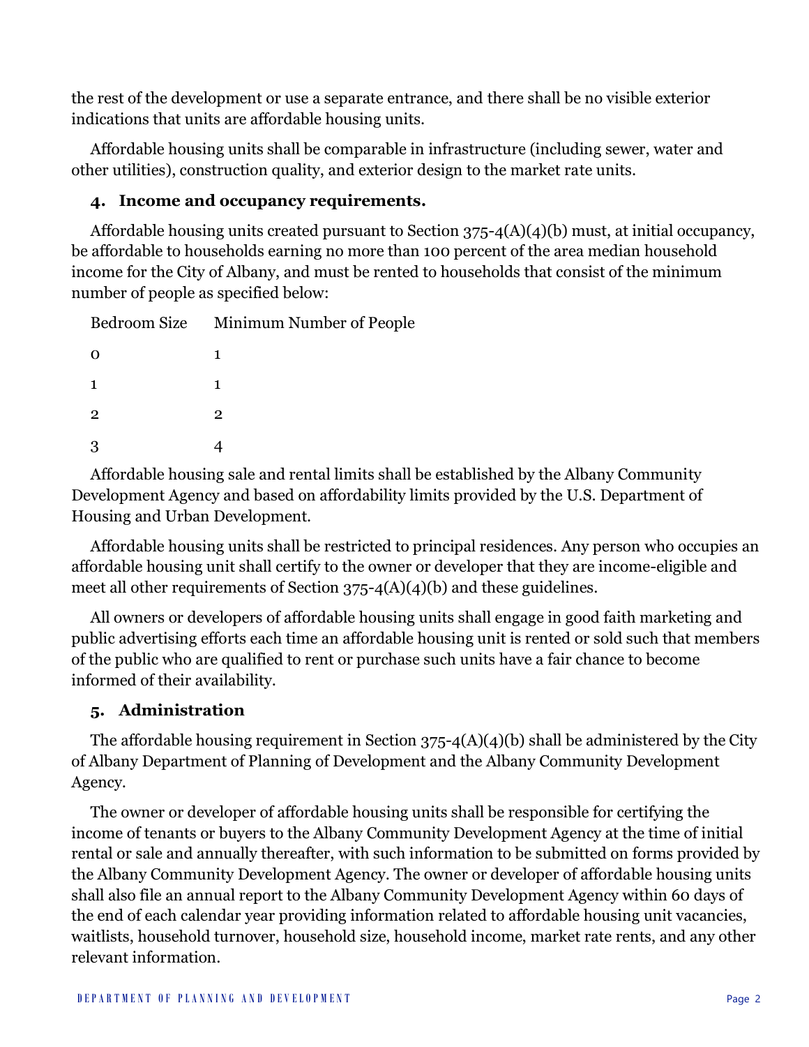the rest of the development or use a separate entrance, and there shall be no visible exterior indications that units are affordable housing units.

Affordable housing units shall be comparable in infrastructure (including sewer, water and other utilities), construction quality, and exterior design to the market rate units.

## **4. Income and occupancy requirements.**

Affordable housing units created pursuant to Section 375-4(A)(4)(b) must, at initial occupancy, be affordable to households earning no more than 100 percent of the area median household income for the City of Albany, and must be rented to households that consist of the minimum number of people as specified below:

|                | Bedroom Size Minimum Number of People |
|----------------|---------------------------------------|
|                |                                       |
|                | 1                                     |
| $\overline{2}$ | 2                                     |
|                |                                       |

Affordable housing sale and rental limits shall be established by the Albany Community Development Agency and based on affordability limits provided by the U.S. Department of Housing and Urban Development.

Affordable housing units shall be restricted to principal residences. Any person who occupies an affordable housing unit shall certify to the owner or developer that they are income-eligible and meet all other requirements of Section  $375-4(A)(4)(b)$  and these guidelines.

All owners or developers of affordable housing units shall engage in good faith marketing and public advertising efforts each time an affordable housing unit is rented or sold such that members of the public who are qualified to rent or purchase such units have a fair chance to become informed of their availability.

## **5. Administration**

The affordable housing requirement in Section  $375-4(A)(4)(b)$  shall be administered by the City of Albany Department of Planning of Development and the Albany Community Development Agency.

The owner or developer of affordable housing units shall be responsible for certifying the income of tenants or buyers to the Albany Community Development Agency at the time of initial rental or sale and annually thereafter, with such information to be submitted on forms provided by the Albany Community Development Agency. The owner or developer of affordable housing units shall also file an annual report to the Albany Community Development Agency within 60 days of the end of each calendar year providing information related to affordable housing unit vacancies, waitlists, household turnover, household size, household income, market rate rents, and any other relevant information.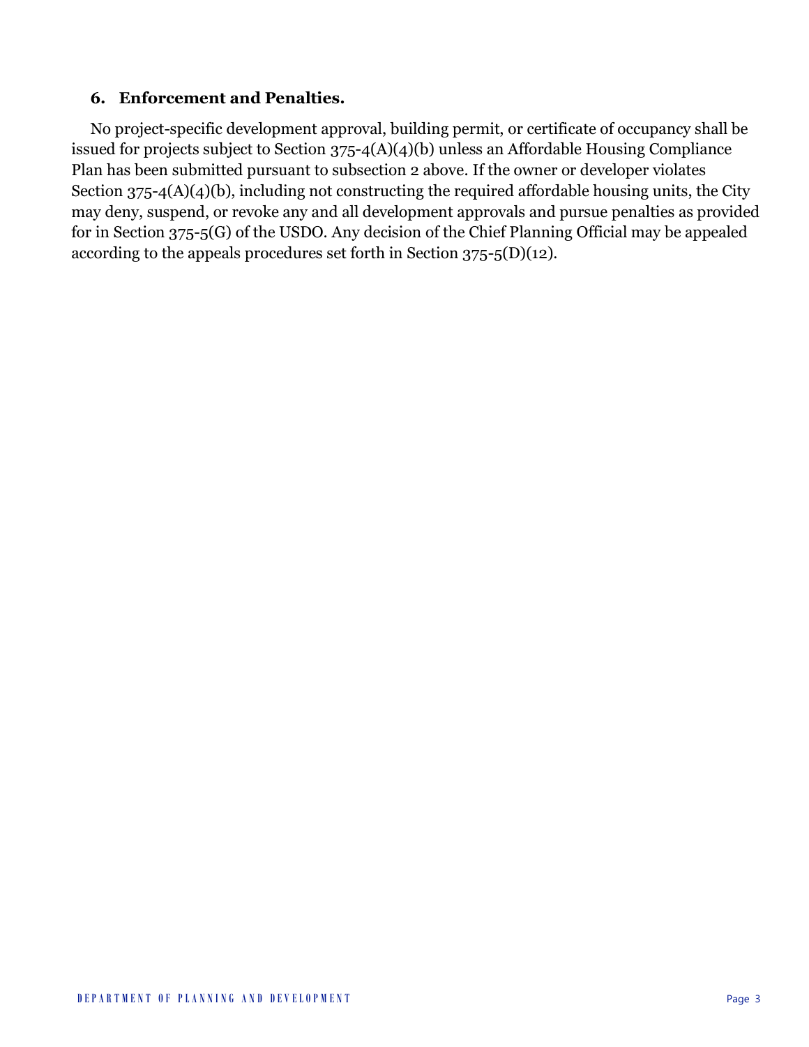## **6. Enforcement and Penalties.**

No project-specific development approval, building permit, or certificate of occupancy shall be issued for projects subject to Section 375-4(A)(4)(b) unless an Affordable Housing Compliance Plan has been submitted pursuant to subsection 2 above. If the owner or developer violates Section  $375-4(A)(4)(b)$ , including not constructing the required affordable housing units, the City may deny, suspend, or revoke any and all development approvals and pursue penalties as provided for in Section 375-5(G) of the USDO. Any decision of the Chief Planning Official may be appealed according to the appeals procedures set forth in Section 375-5(D)(12).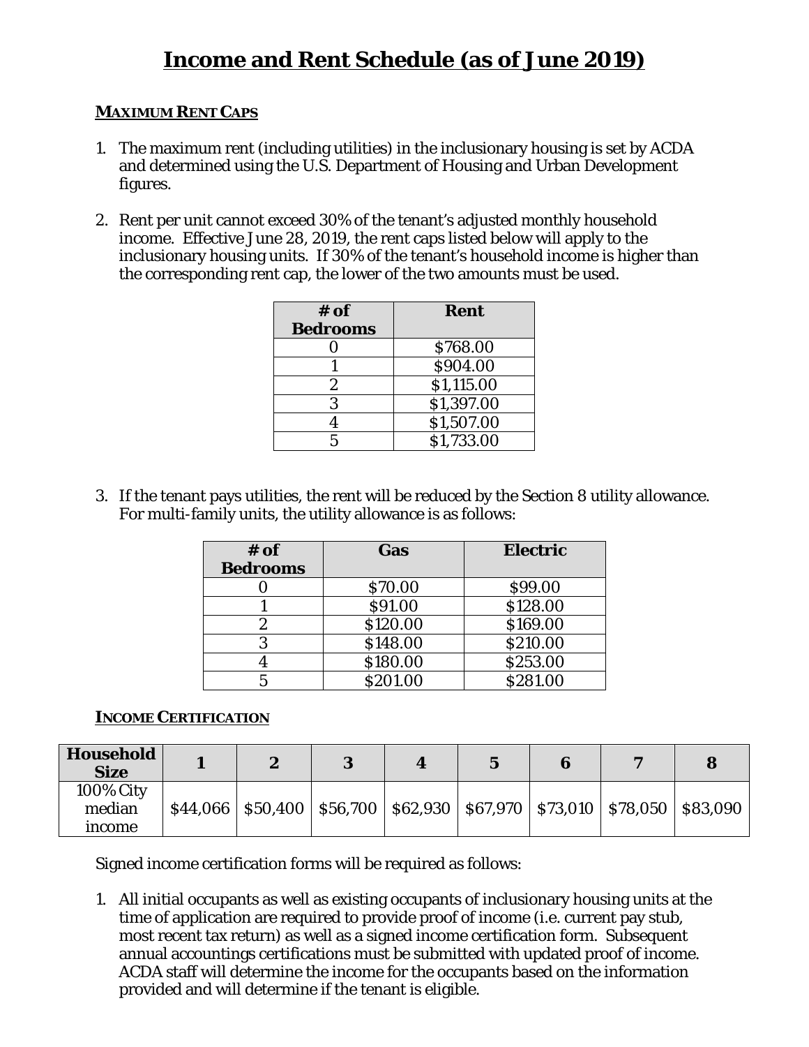## **MAXIMUM RENT CAPS**

- 1. The maximum rent (including utilities) in the inclusionary housing is set by ACDA and determined using the U.S. Department of Housing and Urban Development figures.
- 2. Rent per unit cannot exceed 30% of the tenant's adjusted monthly household income. Effective June 28, 2019, the rent caps listed below will apply to the inclusionary housing units. If 30% of the tenant's household income is higher than the corresponding rent cap, the lower of the two amounts must be used.

| $#$ of          | Rent       |
|-----------------|------------|
| <b>Bedrooms</b> |            |
|                 | \$768.00   |
|                 | \$904.00   |
| 2               | \$1,115.00 |
| 3               | \$1,397.00 |
|                 | \$1,507.00 |
| 5               | \$1,733.00 |

3. If the tenant pays utilities, the rent will be reduced by the Section 8 utility allowance. For multi-family units, the utility allowance is as follows:

| $#$ of<br><b>Bedrooms</b> | Gas      | <b>Electric</b> |
|---------------------------|----------|-----------------|
|                           | \$70.00  | \$99.00         |
|                           | \$91.00  | \$128.00        |
|                           | \$120.00 | \$169.00        |
|                           | \$148.00 | \$210.00        |
|                           | \$180.00 | \$253.00        |
|                           | \$201.00 | \$281.00        |

## *INCOME CERTIFICATION*

| Household<br><b>Size</b>             | <b>Q</b>                                                                               |  |  |  |
|--------------------------------------|----------------------------------------------------------------------------------------|--|--|--|
| <b>100% City</b><br>median<br>income | $$44,066$   \$50,400   \$56,700   \$62,930   \$67,970   \$73,010   \$78,050   \$83,090 |  |  |  |

Signed income certification forms will be required as follows:

1. All initial occupants as well as existing occupants of inclusionary housing units at the time of application are required to provide proof of income (i.e. current pay stub, most recent tax return) as well as a signed income certification form. Subsequent annual accountings certifications must be submitted with updated proof of income. ACDA staff will determine the income for the occupants based on the information provided and will determine if the tenant is eligible.